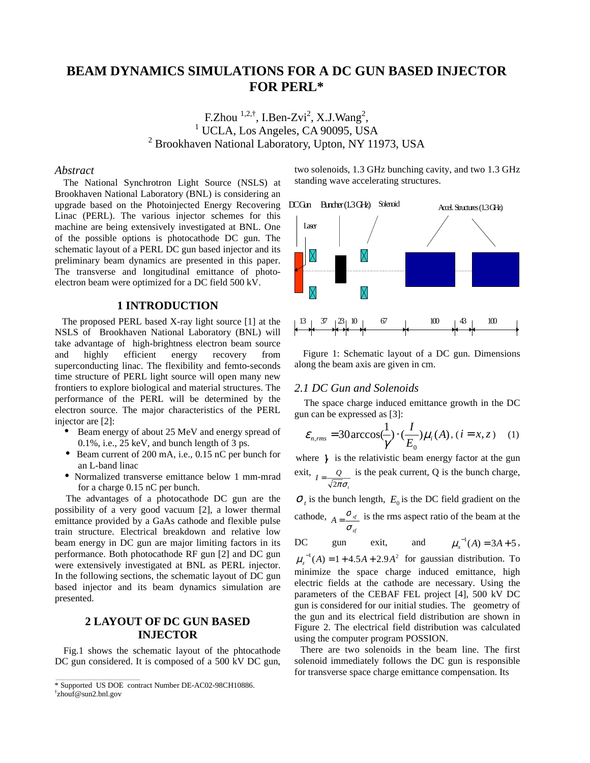# **BEAM DYNAMICS SIMULATIONS FOR A DC GUN BASED INJECTOR FOR PERL\***

F.Zhou  $^{1,2,\dagger}$ , I.Ben-Zvi<sup>2</sup>, X.J.Wang<sup>2</sup> F.Zhou  $^{1,2,7}$ , I.Ben-Zvi<sup>2</sup>, X.J.Wang<sup>2</sup>, <sup>1</sup> UCLA, Los Angeles, CA 90095, USA <sup>2</sup> Brookhaven National Laboratory, Upton, NY 11973, USA

#### *Abstract*

The National Synchrotron Light Source (NSLS) at Brookhaven National Laboratory (BNL) is considering an upgrade based on the Photoinjected Energy Recovering Linac (PERL). The various injector schemes for this machine are being extensively investigated at BNL. One of the possible options is photocathode DC gun. The schematic layout of a PERL DC gun based injector and its preliminary beam dynamics are presented in this paper. The transverse and longitudinal emittance of photoelectron beam were optimized for a DC field 500 kV.

#### **1 INTRODUCTION**

 The proposed PERL based X-ray light source [1] at the NSLS of Brookhaven National Laboratory (BNL) will take advantage of high-brightness electron beam source and highly efficient energy recovery from superconducting linac. The flexibility and femto-seconds time structure of PERL light source will open many new frontiers to explore biological and material structures. The performance of the PERL will be determined by the electron source. The major characteristics of the PERL injector are [2]:

- Beam energy of about 25 MeV and energy spread of 0.1%, i.e., 25 keV, and bunch length of 3 ps.
- Beam current of 200 mA, i.e., 0.15 nC per bunch for an L-band linac
- Normalized transverse emittance below 1 mm-mrad for a charge 0.15 nC per bunch.

 The advantages of a photocathode DC gun are the possibility of a very good vacuum [2], a lower thermal emittance provided by a GaAs cathode and flexible pulse train structure. Electrical breakdown and relative low beam energy in DC gun are major limiting factors in its performance. Both photocathode RF gun [2] and DC gun were extensively investigated at BNL as PERL injector. In the following sections, the schematic layout of DC gun based injector and its beam dynamics simulation are presented.

## **2 LAYOUT OF DC GUN BASED INJECTOR**

Fig.1 shows the schematic layout of the phtocathode DC gun considered. It is composed of a 500 kV DC gun, two solenoids, 1.3 GHz bunching cavity, and two 1.3 GHz standing wave accelerating structures.



Figure 1: Schematic layout of a DC gun. Dimensions along the beam axis are given in cm.

#### *2.1 DC Gun and Solenoids*

 The space charge induced emittance growth in the DC gun can be expressed as [3]:

$$
\varepsilon_{n,rms} = 30 \arccos(\frac{1}{\gamma}) \cdot (\frac{I}{E_0}) \mu_i(A), (i = x, z) \quad (1)
$$

where  $\gamma$  is the relativistic beam energy factor at the gun exit, *t*  $I = \frac{Q}{\sqrt{2\pi}\sigma_i}$  is the peak current, Q is the bunch charge,

 $\sigma_t$  is the bunch length,  $E_0$  is the DC field gradient on the cathode, *zf*  $A = \frac{O_{xf}}{\sigma_{y}}$  $=\frac{\sigma_{\mathcal{A}}}{\sigma}$  is the rms aspect ratio of the beam at the

DC gun exit, and 
$$
\mu_x^{-1}(A) = 3A + 5
$$
,

 $\mu_z^{-1}(A) = 1 + 4.5A + 2.9A^2$  for gaussian distribution. To minimize the space charge induced emittance, high electric fields at the cathode are necessary. Using the parameters of the CEBAF FEL project [4], 500 kV DC gun is considered for our initial studies. The geometry of the gun and its electrical field distribution are shown in Figure 2. The electrical field distribution was calculated using the computer program POSSION.

 There are two solenoids in the beam line. The first solenoid immediately follows the DC gun is responsible for transverse space charge emittance compensation. Its

<sup>\*</sup> Supported US DOE contract Number DE-AC02-98CH10886.

<sup>†</sup> zhouf@sun2.bnl.gov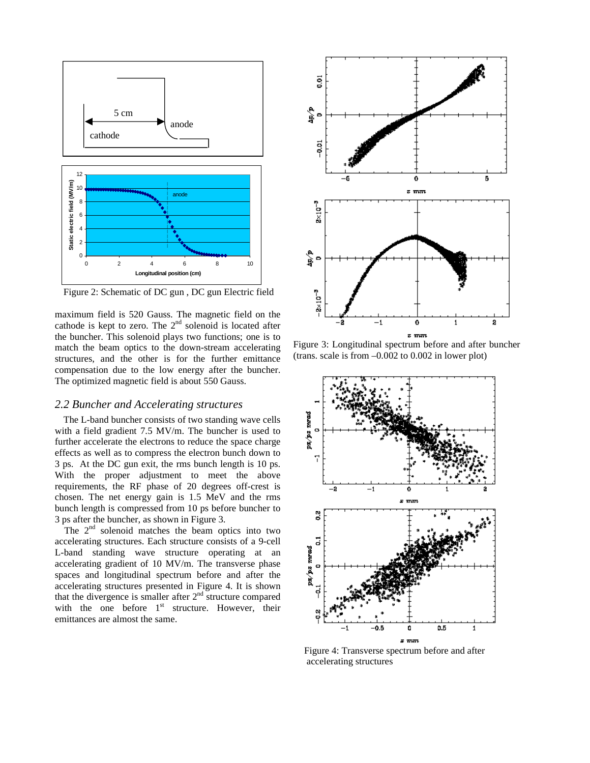

Figure 2: Schematic of DC gun , DC gun Electric field

maximum field is 520 Gauss. The magnetic field on the cathode is kept to zero. The  $2<sup>nd</sup>$  solenoid is located after the buncher. This solenoid plays two functions; one is to match the beam optics to the down-stream accelerating structures, and the other is for the further emittance compensation due to the low energy after the buncher. The optimized magnetic field is about 550 Gauss.

#### *2.2 Buncher and Accelerating structures*

The L-band buncher consists of two standing wave cells with a field gradient 7.5 MV/m. The buncher is used to further accelerate the electrons to reduce the space charge effects as well as to compress the electron bunch down to 3 ps. At the DC gun exit, the rms bunch length is 10 ps. With the proper adjustment to meet the above requirements, the RF phase of 20 degrees off-crest is chosen. The net energy gain is 1.5 MeV and the rms bunch length is compressed from 10 ps before buncher to 3 ps after the buncher, as shown in Figure 3.

The  $2<sup>nd</sup>$  solenoid matches the beam optics into two accelerating structures. Each structure consists of a 9-cell L-band standing wave structure operating at an accelerating gradient of 10 MV/m. The transverse phase spaces and longitudinal spectrum before and after the accelerating structures presented in Figure 4. It is shown that the divergence is smaller after  $2<sup>nd</sup>$  structure compared with the one before  $1<sup>st</sup>$  structure. However, their emittances are almost the same.



Figure 3: Longitudinal spectrum before and after buncher (trans. scale is from –0.002 to 0.002 in lower plot)



 Figure 4: Transverse spectrum before and after accelerating structures